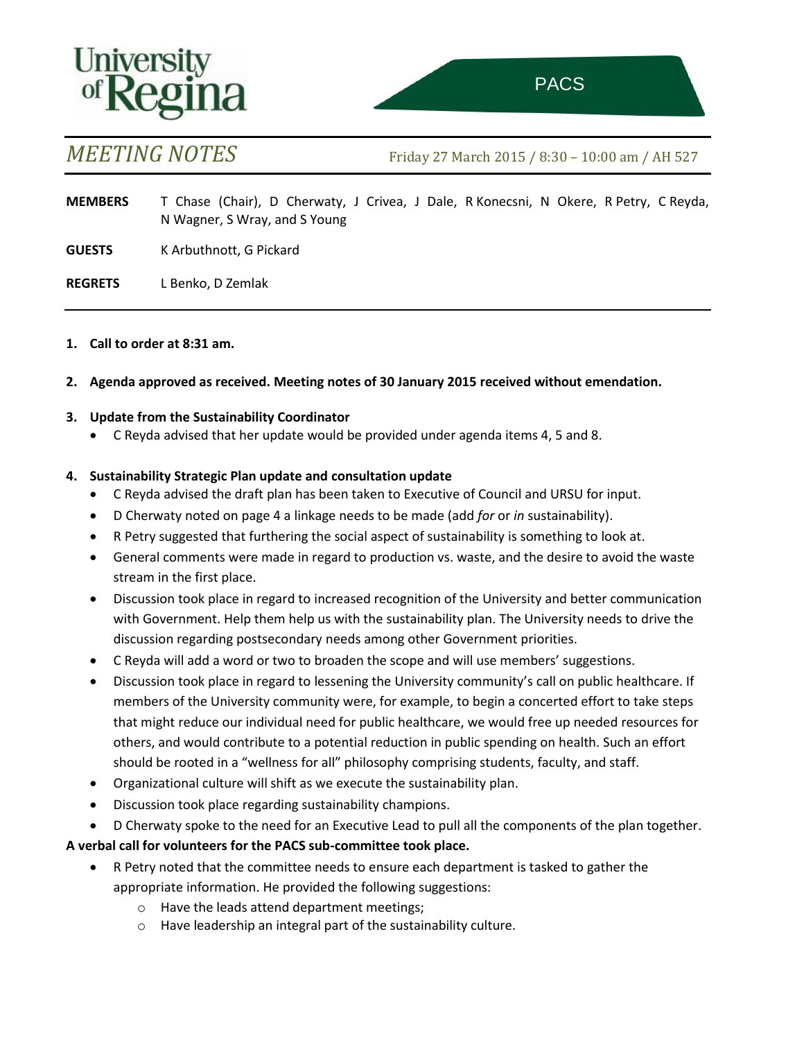# University<br>of **Regina**



*MEETING NOTES* Friday 27 March 2015 / 8:30 – 10:00 am / AH 527

**MEMBERS** T Chase (Chair), D Cherwaty, J Crivea, J Dale, R Konecsni, N Okere, R Petry, C Reyda, N Wagner, S Wray, and S Young

**GUESTS** K Arbuthnott, G Pickard

**REGRETS** L Benko, D Zemlak

#### **1. Call to order at 8:31 am.**

**2. Agenda approved as received. Meeting notes of 30 January 2015 received without emendation.**

#### **3. Update from the Sustainability Coordinator**

C Reyda advised that her update would be provided under agenda items 4, 5 and 8.

#### **4. Sustainability Strategic Plan update and consultation update**

- C Reyda advised the draft plan has been taken to Executive of Council and URSU for input.
- D Cherwaty noted on page 4 a linkage needs to be made (add *for* or *in* sustainability).
- R Petry suggested that furthering the social aspect of sustainability is something to look at.
- General comments were made in regard to production vs. waste, and the desire to avoid the waste stream in the first place.
- Discussion took place in regard to increased recognition of the University and better communication with Government. Help them help us with the sustainability plan. The University needs to drive the discussion regarding postsecondary needs among other Government priorities.
- C Reyda will add a word or two to broaden the scope and will use members' suggestions.
- Discussion took place in regard to lessening the University community's call on public healthcare. If members of the University community were, for example, to begin a concerted effort to take steps that might reduce our individual need for public healthcare, we would free up needed resources for others, and would contribute to a potential reduction in public spending on health. Such an effort should be rooted in a "wellness for all" philosophy comprising students, faculty, and staff.
- Organizational culture will shift as we execute the sustainability plan.
- Discussion took place regarding sustainability champions.
- D Cherwaty spoke to the need for an Executive Lead to pull all the components of the plan together.

### **A verbal call for volunteers for the PACS sub-committee took place.**

- R Petry noted that the committee needs to ensure each department is tasked to gather the appropriate information. He provided the following suggestions:
	- o Have the leads attend department meetings;
	- o Have leadership an integral part of the sustainability culture.